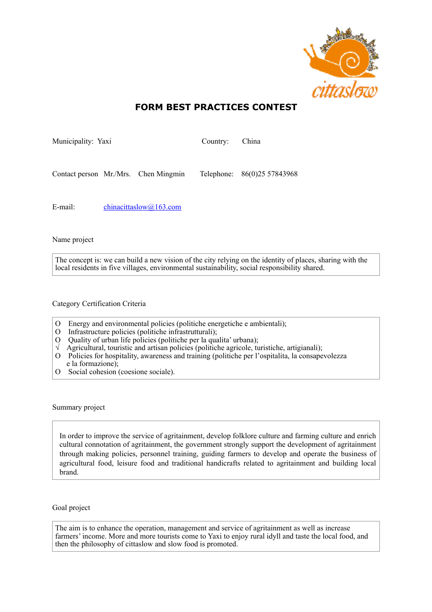

## **FORM BEST PRACTICES CONTEST**

| Municipality: Yaxi |  |                                      | Country: China |                             |
|--------------------|--|--------------------------------------|----------------|-----------------------------|
|                    |  |                                      |                |                             |
|                    |  | Contact person Mr./Mrs. Chen Mingmin |                | Telephone: 86(0)25 57843968 |

E-mail: [chinacittaslow@163.com](mailto:chinacittaslow@163.com)

Name project

The concept is: we can build a new vision of the city relying on the identity of places, sharing with the local residents in five villages, environmental sustainability, social responsibility shared.

Category Certification Criteria

- O Energy and environmental policies (politiche energetiche e ambientali);
- O Infrastructure policies (politiche infrastrutturali);
- O Quality of urban life policies (politiche per la qualita' urbana);
- √ Agricultural, touristic and artisan policies (politiche agricole, turistiche, artigianali);
- O Policies for hospitality, awareness and training (politiche per l'ospitalita, la consapevolezza e la formazione);
- O Social cohesion (coesione sociale).

Summary project

In order to improve the service of agritainment, develop folklore culture and farming culture and enrich cultural connotation of agritainment, the government strongly support the development of agritainment through making policies, personnel training, guiding farmers to develop and operate the business of agricultural food, leisure food and traditional handicrafts related to agritainment and building local brand.

Goal project

The aim is to enhance the operation, management and service of agritainment as well as increase farmers' income. More and more tourists come to Yaxi to enjoy rural idyll and taste the local food, and then the philosophy of cittaslow and slow food is promoted.